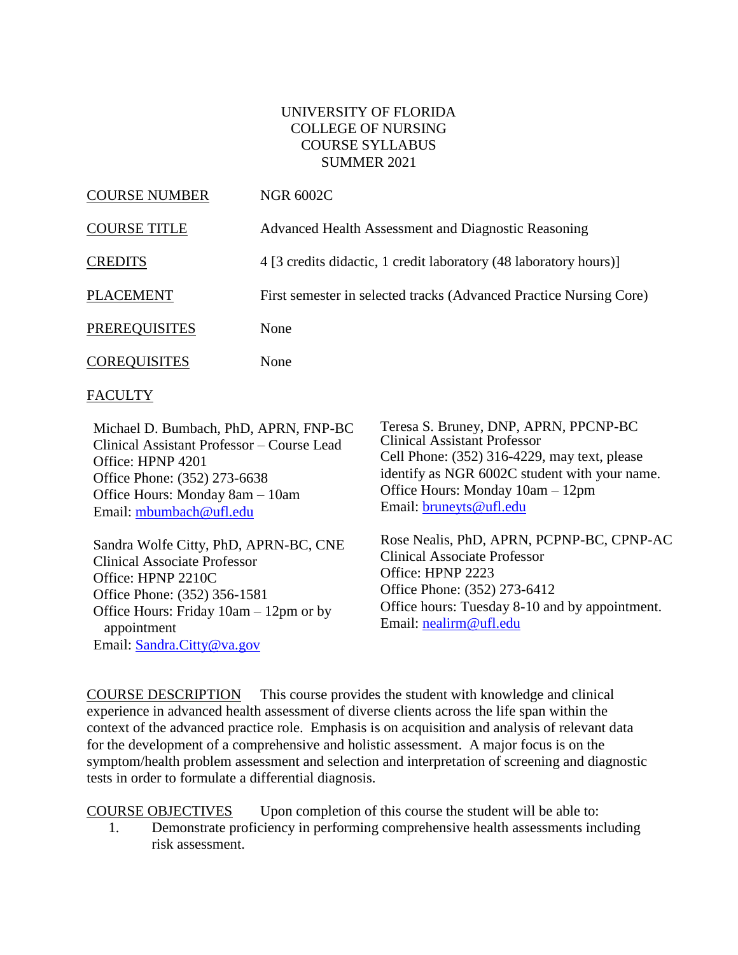## UNIVERSITY OF FLORIDA COLLEGE OF NURSING COURSE SYLLABUS SUMMER 2021

| <b>COURSE NUMBER</b> | <b>NGR 6002C</b>                                                   |
|----------------------|--------------------------------------------------------------------|
| <b>COURSE TITLE</b>  | Advanced Health Assessment and Diagnostic Reasoning                |
| <b>CREDITS</b>       | 4 [3 credits didactic, 1 credit laboratory (48 laboratory hours)]  |
| <b>PLACEMENT</b>     | First semester in selected tracks (Advanced Practice Nursing Core) |
| <b>PREREQUISITES</b> | None                                                               |
| <b>COREQUISITES</b>  | None                                                               |

## FACULTY

Michael D. Bumbach, PhD, APRN, FNP-BC Clinical Assistant Professor – Course Lead Office: HPNP 4201 Office Phone: (352) 273-6638 Office Hours: Monday 8am – 10am Email: [mbumbach@ufl.edu](mailto:mbumbach@ufl.edu)

Sandra Wolfe Citty, PhD, APRN-BC, CNE Clinical Associate Professor Office: HPNP 2210C Office Phone: (352) 356-1581 Office Hours: Friday 10am – 12pm or by appointment Email: [Sandra.Citty@va.gov](mailto:Sandra.Citty@va.gov)

Teresa S. Bruney, DNP, APRN, PPCNP-BC Clinical Assistant Professor Cell Phone: (352) 316-4229, may text, please identify as NGR 6002C student with your name. Office Hours: Monday 10am – 12pm Email: [bruneyts@ufl.edu](mailto:bruneyts@ufl.edu)

Rose Nealis, PhD, APRN, PCPNP-BC, CPNP-AC Clinical Associate Professor Office: HPNP 2223 Office Phone: (352) 273-6412 Office hours: Tuesday 8-10 and by appointment. Email: [nealirm@ufl.edu](mailto:nealirm@ufl.edu)

COURSE DESCRIPTION This course provides the student with knowledge and clinical experience in advanced health assessment of diverse clients across the life span within the context of the advanced practice role. Emphasis is on acquisition and analysis of relevant data for the development of a comprehensive and holistic assessment. A major focus is on the symptom/health problem assessment and selection and interpretation of screening and diagnostic tests in order to formulate a differential diagnosis.

COURSE OBJECTIVES Upon completion of this course the student will be able to:

1. Demonstrate proficiency in performing comprehensive health assessments including risk assessment.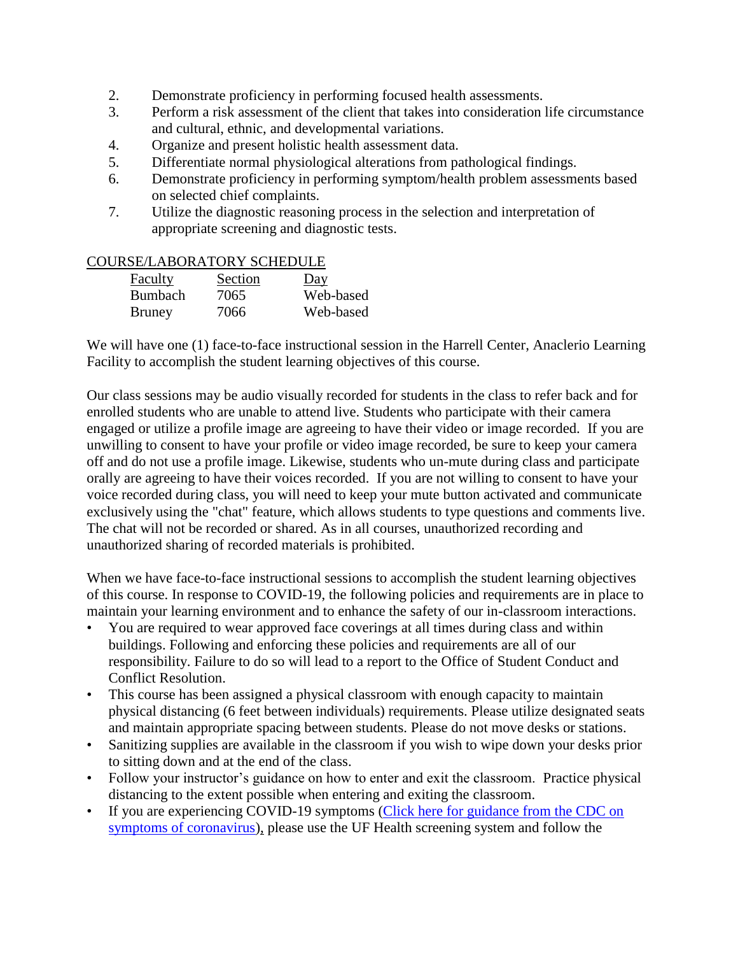- 2. Demonstrate proficiency in performing focused health assessments.
- 3. Perform a risk assessment of the client that takes into consideration life circumstance and cultural, ethnic, and developmental variations.
- 4. Organize and present holistic health assessment data.
- 5. Differentiate normal physiological alterations from pathological findings.
- 6. Demonstrate proficiency in performing symptom/health problem assessments based on selected chief complaints.
- 7. Utilize the diagnostic reasoning process in the selection and interpretation of appropriate screening and diagnostic tests.

## COURSE/LABORATORY SCHEDULE

| Faculty        | Section | $\overline{Day}$ |
|----------------|---------|------------------|
| <b>Bumbach</b> | 7065    | Web-based        |
| <b>Bruney</b>  | 7066    | Web-based        |

We will have one (1) face-to-face instructional session in the Harrell Center, Anaclerio Learning Facility to accomplish the student learning objectives of this course.

Our class sessions may be audio visually recorded for students in the class to refer back and for enrolled students who are unable to attend live. Students who participate with their camera engaged or utilize a profile image are agreeing to have their video or image recorded. If you are unwilling to consent to have your profile or video image recorded, be sure to keep your camera off and do not use a profile image. Likewise, students who un-mute during class and participate orally are agreeing to have their voices recorded. If you are not willing to consent to have your voice recorded during class, you will need to keep your mute button activated and communicate exclusively using the "chat" feature, which allows students to type questions and comments live. The chat will not be recorded or shared. As in all courses, unauthorized recording and unauthorized sharing of recorded materials is prohibited.

When we have face-to-face instructional sessions to accomplish the student learning objectives of this course. In response to COVID-19, the following policies and requirements are in place to maintain your learning environment and to enhance the safety of our in-classroom interactions.

- You are required to wear approved face coverings at all times during class and within buildings. Following and enforcing these policies and requirements are all of our responsibility. Failure to do so will lead to a report to the Office of Student Conduct and Conflict Resolution.
- This course has been assigned a physical classroom with enough capacity to maintain physical distancing (6 feet between individuals) requirements. Please utilize designated seats and maintain appropriate spacing between students. Please do not move desks or stations.
- Sanitizing supplies are available in the classroom if you wish to wipe down your desks prior to sitting down and at the end of the class.
- Follow your instructor's guidance on how to enter and exit the classroom. Practice physical distancing to the extent possible when entering and exiting the classroom.
- If you are experiencing COVID-19 symptoms [\(Click here for guidance from the CDC on](https://www.cdc.gov/coronavirus/2019-ncov/symptoms-testing/symptoms.html)  [symptoms of coronavirus\)](https://www.cdc.gov/coronavirus/2019-ncov/symptoms-testing/symptoms.html), please use the UF Health screening system and follow the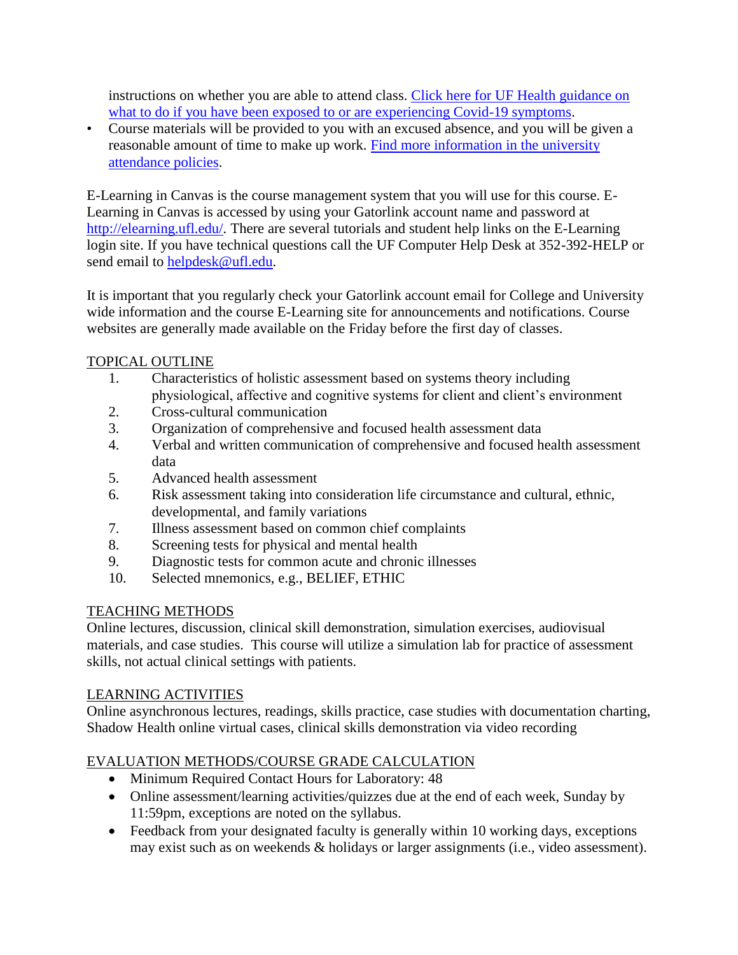instructions on whether you are able to attend class. Click here for UF Health guidance on [what to do if you have been exposed to or are experiencing Covid-19 symptoms.](https://coronavirus.ufhealth.org/screen-test-protect/covid-19-exposure-and-symptoms-who-do-i-call-if/)

• Course materials will be provided to you with an excused absence, and you will be given a reasonable amount of time to make up work. [Find more information in the university](https://catalog.ufl.edu/UGRD/academic-regulations/attendance-policies/)  [attendance policies.](https://catalog.ufl.edu/UGRD/academic-regulations/attendance-policies/)

E-Learning in Canvas is the course management system that you will use for this course. E-Learning in Canvas is accessed by using your Gatorlink account name and password at [http://elearning.ufl.edu/.](http://elearning.ufl.edu/) There are several tutorials and student help links on the E-Learning login site. If you have technical questions call the UF Computer Help Desk at 352-392-HELP or send email to [helpdesk@ufl.edu.](mailto:helpdesk@ufl.edu)

It is important that you regularly check your Gatorlink account email for College and University wide information and the course E-Learning site for announcements and notifications. Course websites are generally made available on the Friday before the first day of classes.

## TOPICAL OUTLINE

- 1. Characteristics of holistic assessment based on systems theory including physiological, affective and cognitive systems for client and client's environment
- 2. Cross-cultural communication
- 3. Organization of comprehensive and focused health assessment data
- 4. Verbal and written communication of comprehensive and focused health assessment data
- 5. Advanced health assessment
- 6. Risk assessment taking into consideration life circumstance and cultural, ethnic, developmental, and family variations
- 7. Illness assessment based on common chief complaints
- 8. Screening tests for physical and mental health
- 9. Diagnostic tests for common acute and chronic illnesses
- 10. Selected mnemonics, e.g., BELIEF, ETHIC

# TEACHING METHODS

Online lectures, discussion, clinical skill demonstration, simulation exercises, audiovisual materials, and case studies. This course will utilize a simulation lab for practice of assessment skills, not actual clinical settings with patients.

## LEARNING ACTIVITIES

Online asynchronous lectures, readings, skills practice, case studies with documentation charting, Shadow Health online virtual cases, clinical skills demonstration via video recording

# EVALUATION METHODS/COURSE GRADE CALCULATION

- Minimum Required Contact Hours for Laboratory: 48
- Online assessment/learning activities/quizzes due at the end of each week, Sunday by 11:59pm, exceptions are noted on the syllabus.
- Feedback from your designated faculty is generally within 10 working days, exceptions may exist such as on weekends & holidays or larger assignments (i.e., video assessment).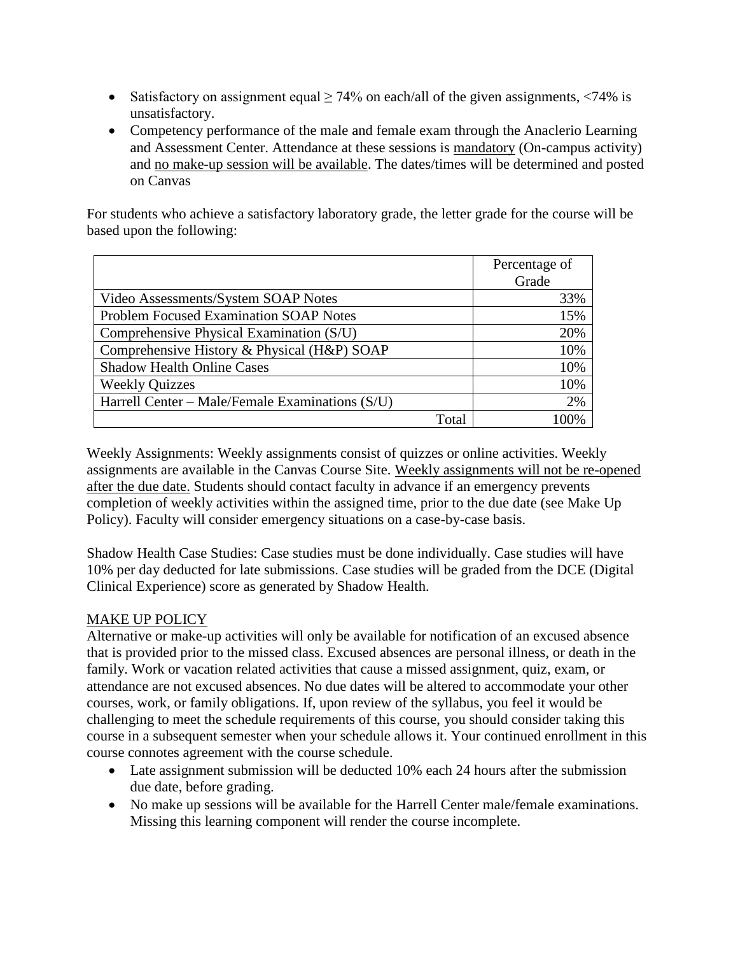- Satisfactory on assignment equal  $\geq$  74% on each/all of the given assignments,  $\lt$  74% is unsatisfactory.
- Competency performance of the male and female exam through the Anaclerio Learning and Assessment Center. Attendance at these sessions is mandatory (On-campus activity) and no make-up session will be available. The dates/times will be determined and posted on Canvas

For students who achieve a satisfactory laboratory grade, the letter grade for the course will be based upon the following:

|                                                 |       | Percentage of<br>Grade |
|-------------------------------------------------|-------|------------------------|
| Video Assessments/System SOAP Notes             |       | 33%                    |
| Problem Focused Examination SOAP Notes          |       | 15%                    |
| Comprehensive Physical Examination (S/U)        |       | 20%                    |
| Comprehensive History & Physical (H&P) SOAP     |       | 10%                    |
| <b>Shadow Health Online Cases</b>               |       | 10%                    |
| <b>Weekly Quizzes</b>                           |       | 10%                    |
| Harrell Center – Male/Female Examinations (S/U) |       | 2%                     |
|                                                 | Total |                        |

Weekly Assignments: Weekly assignments consist of quizzes or online activities. Weekly assignments are available in the Canvas Course Site. Weekly assignments will not be re-opened after the due date. Students should contact faculty in advance if an emergency prevents completion of weekly activities within the assigned time, prior to the due date (see Make Up Policy). Faculty will consider emergency situations on a case-by-case basis.

Shadow Health Case Studies: Case studies must be done individually. Case studies will have 10% per day deducted for late submissions. Case studies will be graded from the DCE (Digital Clinical Experience) score as generated by Shadow Health.

## MAKE UP POLICY

Alternative or make-up activities will only be available for notification of an excused absence that is provided prior to the missed class. Excused absences are personal illness, or death in the family. Work or vacation related activities that cause a missed assignment, quiz, exam, or attendance are not excused absences. No due dates will be altered to accommodate your other courses, work, or family obligations. If, upon review of the syllabus, you feel it would be challenging to meet the schedule requirements of this course, you should consider taking this course in a subsequent semester when your schedule allows it. Your continued enrollment in this course connotes agreement with the course schedule.

- Late assignment submission will be deducted 10% each 24 hours after the submission due date, before grading.
- No make up sessions will be available for the Harrell Center male/female examinations. Missing this learning component will render the course incomplete.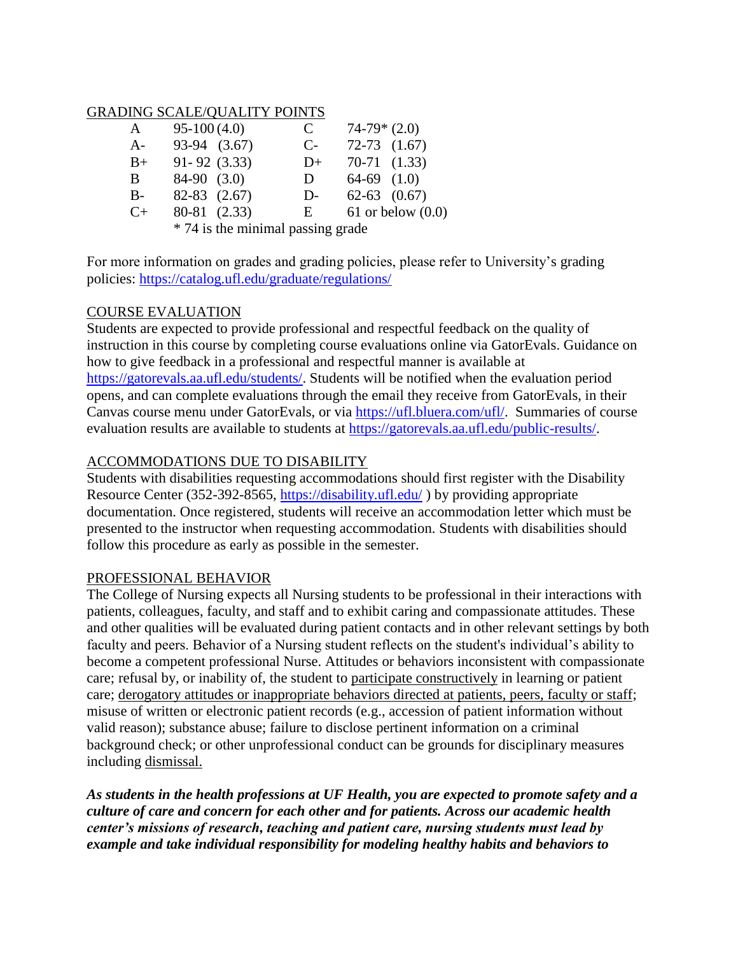## GRADING SCALE/QUALITY POINTS

| A            | $95-100(4.0)$    |                                   | C    | $74-79*(2.0)$    |                       |
|--------------|------------------|-----------------------------------|------|------------------|-----------------------|
| $A-$         | 93-94 (3.67)     |                                   | $C-$ | $72-73$ $(1.67)$ |                       |
| $B+$         | $91 - 92$ (3.33) |                                   | $D+$ | $70-71$ $(1.33)$ |                       |
| <sub>B</sub> | $84-90$ $(3.0)$  |                                   | D.   | $64-69$ $(1.0)$  |                       |
| $B-$         | $82-83$ $(2.67)$ |                                   | D-   | $62-63$ $(0.67)$ |                       |
| $C+$         | 80-81 (2.33)     |                                   | E    |                  | $61$ or below $(0.0)$ |
|              |                  | * 74 is the minimal passing grade |      |                  |                       |

For more information on grades and grading policies, please refer to University's grading policies:<https://catalog.ufl.edu/graduate/regulations/>

## COURSE EVALUATION

Students are expected to provide professional and respectful feedback on the quality of instruction in this course by completing course evaluations online via GatorEvals. Guidance on how to give feedback in a professional and respectful manner is available at [https://gatorevals.aa.ufl.edu/students/.](https://gatorevals.aa.ufl.edu/students/) Students will be notified when the evaluation period opens, and can complete evaluations through the email they receive from GatorEvals, in their Canvas course menu under GatorEvals, or via [https://ufl.bluera.com/ufl/.](https://ufl.bluera.com/ufl/) Summaries of course evaluation results are available to students at [https://gatorevals.aa.ufl.edu/public-results/.](https://gatorevals.aa.ufl.edu/public-results/)

## ACCOMMODATIONS DUE TO DISABILITY

Students with disabilities requesting accommodations should first register with the Disability Resource Center (352-392-8565,<https://disability.ufl.edu/>) by providing appropriate documentation. Once registered, students will receive an accommodation letter which must be presented to the instructor when requesting accommodation. Students with disabilities should follow this procedure as early as possible in the semester.

#### PROFESSIONAL BEHAVIOR

The College of Nursing expects all Nursing students to be professional in their interactions with patients, colleagues, faculty, and staff and to exhibit caring and compassionate attitudes. These and other qualities will be evaluated during patient contacts and in other relevant settings by both faculty and peers. Behavior of a Nursing student reflects on the student's individual's ability to become a competent professional Nurse. Attitudes or behaviors inconsistent with compassionate care; refusal by, or inability of, the student to participate constructively in learning or patient care; derogatory attitudes or inappropriate behaviors directed at patients, peers, faculty or staff; misuse of written or electronic patient records (e.g., accession of patient information without valid reason); substance abuse; failure to disclose pertinent information on a criminal background check; or other unprofessional conduct can be grounds for disciplinary measures including dismissal.

*As students in the health professions at UF Health, you are expected to promote safety and a culture of care and concern for each other and for patients. Across our academic health center's missions of research, teaching and patient care, nursing students must lead by example and take individual responsibility for modeling healthy habits and behaviors to*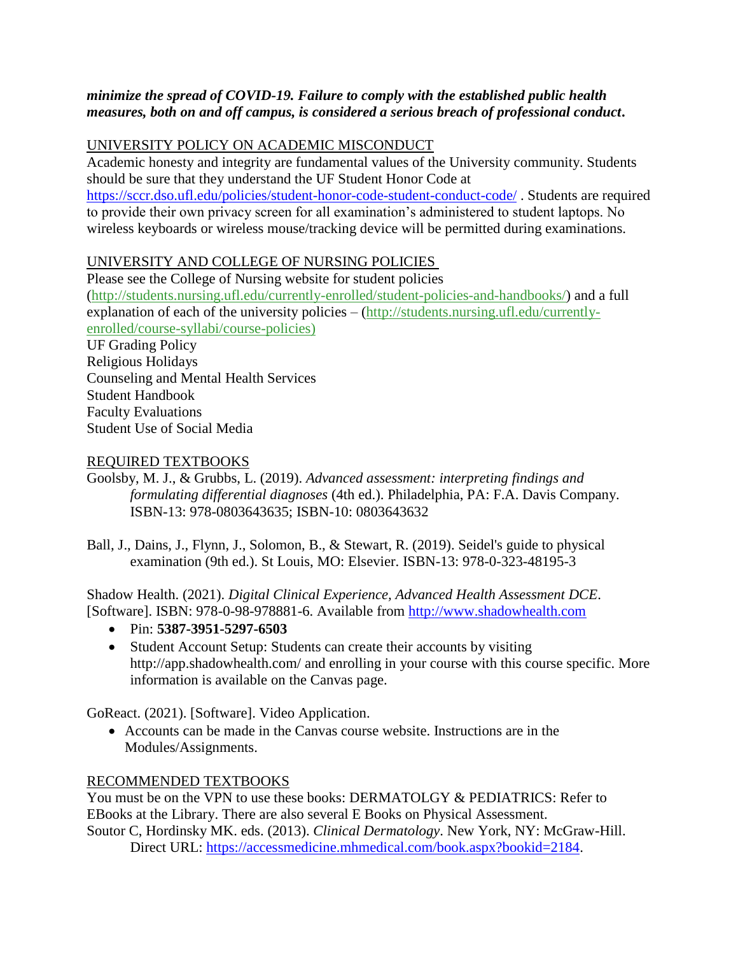## *minimize the spread of COVID-19. Failure to comply with the established public health measures, both on and off campus, is considered a serious breach of professional conduct***.**

## UNIVERSITY POLICY ON ACADEMIC MISCONDUCT

Academic honesty and integrity are fundamental values of the University community. Students should be sure that they understand the UF Student Honor Code at <https://sccr.dso.ufl.edu/policies/student-honor-code-student-conduct-code/> . Students are required to provide their own privacy screen for all examination's administered to student laptops. No wireless keyboards or wireless mouse/tracking device will be permitted during examinations.

## UNIVERSITY AND COLLEGE OF NURSING POLICIES

Please see the College of Nursing website for student policies [\(http://students.nursing.ufl.edu/currently-enrolled/student-policies-and-handbooks/\)](http://students.nursing.ufl.edu/currently-enrolled/student-policies-and-handbooks/) and a full explanation of each of the university policies – [\(http://students.nursing.ufl.edu/currently](http://students.nursing.ufl.edu/currently-enrolled/course-syllabi/course-policies)[enrolled/course-syllabi/course-policies\)](http://students.nursing.ufl.edu/currently-enrolled/course-syllabi/course-policies)

UF Grading Policy Religious Holidays Counseling and Mental Health Services Student Handbook Faculty Evaluations Student Use of Social Media

## REQUIRED TEXTBOOKS

Goolsby, M. J., & Grubbs, L. (2019). *Advanced assessment: interpreting findings and formulating differential diagnoses* (4th ed.). Philadelphia, PA: F.A. Davis Company. ISBN-13: 978-0803643635; ISBN-10: 0803643632

Ball, J., Dains, J., Flynn, J., Solomon, B., & Stewart, R. (2019). Seidel's guide to physical examination (9th ed.). St Louis, MO: Elsevier. ISBN-13: 978-0-323-48195-3

Shadow Health. (2021). *Digital Clinical Experience, Advanced Health Assessment DCE*. [Software]. ISBN: 978-0-98-978881-6. Available from [http://www.shadowhealth.com](http://www.shadowhealth.com/)

- Pin: **5387-3951-5297-6503**
- Student Account Setup: Students can create their accounts by visiting http://app.shadowhealth.com/ and enrolling in your course with this course specific. More information is available on the Canvas page.

GoReact. (2021). [Software]. Video Application.

• Accounts can be made in the Canvas course website. Instructions are in the Modules/Assignments.

## RECOMMENDED TEXTBOOKS

You must be on the VPN to use these books: DERMATOLGY & PEDIATRICS: Refer to EBooks at the Library. There are also several E Books on Physical Assessment. Soutor C, Hordinsky MK. eds. (2013). *Clinical Dermatology*. New York, NY: McGraw-Hill.

Direct URL: [https://accessmedicine.mhmedical.com/book.aspx?bookid=2184.](https://accessmedicine.mhmedical.com/book.aspx?bookid=2184)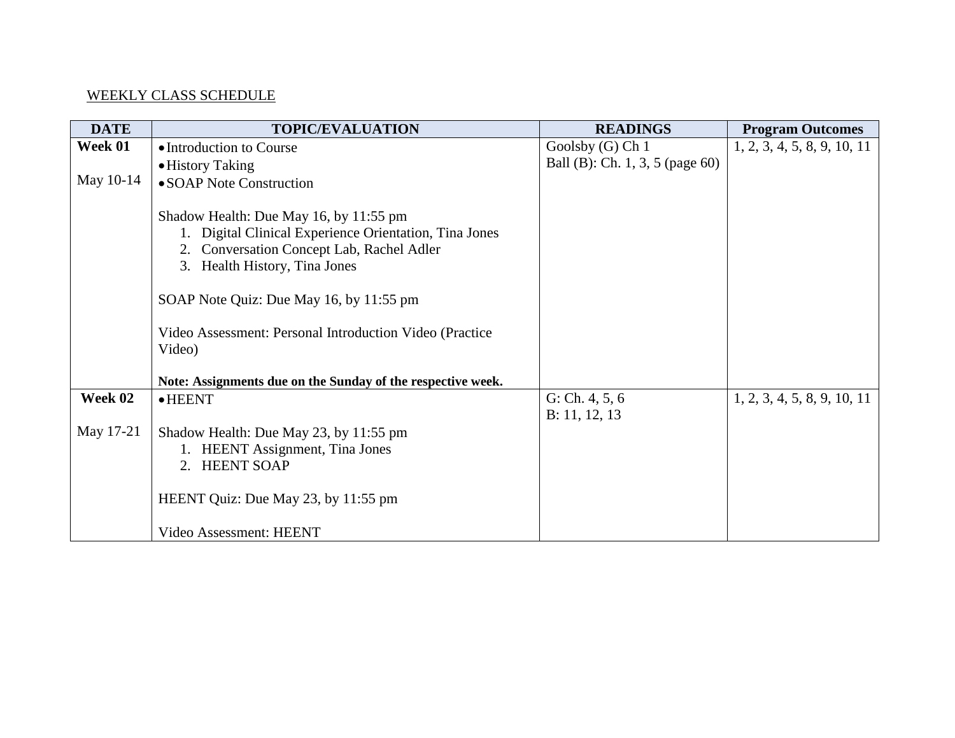## WEEKLY CLASS SCHEDULE

| <b>DATE</b> | <b>TOPIC/EVALUATION</b>                                                                                                                                                                                                                                                                        | <b>READINGS</b>                 | <b>Program Outcomes</b>     |
|-------------|------------------------------------------------------------------------------------------------------------------------------------------------------------------------------------------------------------------------------------------------------------------------------------------------|---------------------------------|-----------------------------|
| Week 01     | • Introduction to Course                                                                                                                                                                                                                                                                       | Goolsby (G) Ch 1                | 1, 2, 3, 4, 5, 8, 9, 10, 11 |
|             | • History Taking                                                                                                                                                                                                                                                                               | Ball (B): Ch. 1, 3, 5 (page 60) |                             |
| May 10-14   | • SOAP Note Construction                                                                                                                                                                                                                                                                       |                                 |                             |
|             | Shadow Health: Due May 16, by 11:55 pm<br>1. Digital Clinical Experience Orientation, Tina Jones<br>2. Conversation Concept Lab, Rachel Adler<br>3. Health History, Tina Jones<br>SOAP Note Quiz: Due May 16, by 11:55 pm<br>Video Assessment: Personal Introduction Video (Practice<br>Video) |                                 |                             |
|             | Note: Assignments due on the Sunday of the respective week.                                                                                                                                                                                                                                    |                                 |                             |
| Week 02     | $\bullet$ HEENT                                                                                                                                                                                                                                                                                | G: Ch. $4, 5, 6$                | 1, 2, 3, 4, 5, 8, 9, 10, 11 |
| May 17-21   | Shadow Health: Due May 23, by 11:55 pm<br>1. HEENT Assignment, Tina Jones<br>2. HEENT SOAP                                                                                                                                                                                                     | B: 11, 12, 13                   |                             |
|             | HEENT Quiz: Due May 23, by 11:55 pm                                                                                                                                                                                                                                                            |                                 |                             |
|             | Video Assessment: HEENT                                                                                                                                                                                                                                                                        |                                 |                             |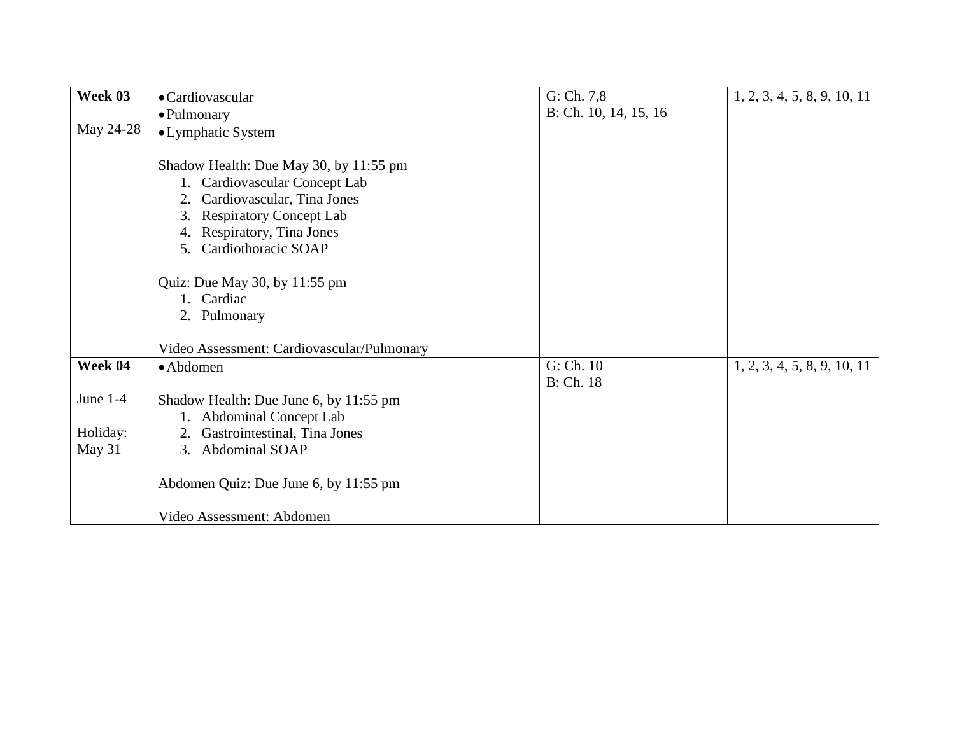| Week 03    | · Cardiovascular                           | G: Ch. 7,8            | 1, 2, 3, 4, 5, 8, 9, 10, 11 |
|------------|--------------------------------------------|-----------------------|-----------------------------|
|            | • Pulmonary                                | B: Ch. 10, 14, 15, 16 |                             |
| May 24-28  |                                            |                       |                             |
|            | • Lymphatic System                         |                       |                             |
|            |                                            |                       |                             |
|            | Shadow Health: Due May 30, by 11:55 pm     |                       |                             |
|            | 1. Cardiovascular Concept Lab              |                       |                             |
|            | 2. Cardiovascular, Tina Jones              |                       |                             |
|            | <b>Respiratory Concept Lab</b><br>3.       |                       |                             |
|            | Respiratory, Tina Jones                    |                       |                             |
|            | 5. Cardiothoracic SOAP                     |                       |                             |
|            |                                            |                       |                             |
|            | Quiz: Due May 30, by $11:55$ pm            |                       |                             |
|            | 1. Cardiac                                 |                       |                             |
|            | 2. Pulmonary                               |                       |                             |
|            |                                            |                       |                             |
|            | Video Assessment: Cardiovascular/Pulmonary |                       |                             |
| Week 04    | $\bullet$ Abdomen                          | G: Ch. 10             | 1, 2, 3, 4, 5, 8, 9, 10, 11 |
|            |                                            | <b>B</b> : Ch. 18     |                             |
| June $1-4$ | Shadow Health: Due June 6, by 11:55 pm     |                       |                             |
|            | 1. Abdominal Concept Lab                   |                       |                             |
| Holiday:   | Gastrointestinal, Tina Jones               |                       |                             |
|            | 2.                                         |                       |                             |
| May 31     | 3. Abdominal SOAP                          |                       |                             |
|            | Abdomen Quiz: Due June 6, by 11:55 pm      |                       |                             |
|            |                                            |                       |                             |
|            | Video Assessment: Abdomen                  |                       |                             |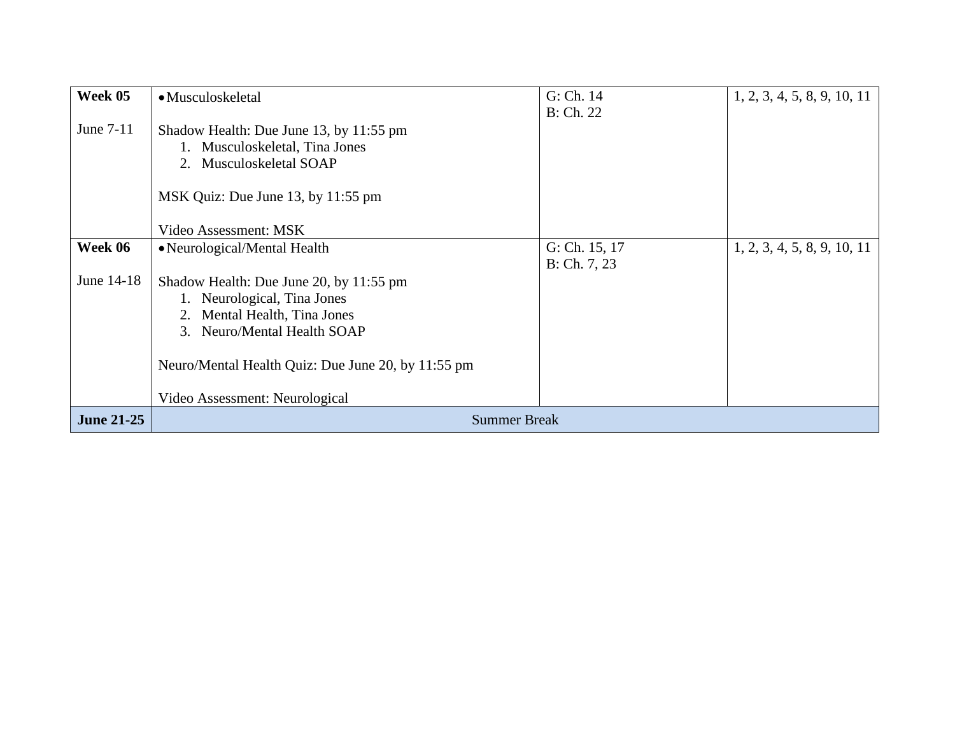| Week 05           | • Musculoskeletal                                  | G: Ch. 14         | 1, 2, 3, 4, 5, 8, 9, 10, 11 |
|-------------------|----------------------------------------------------|-------------------|-----------------------------|
|                   |                                                    | <b>B</b> : Ch. 22 |                             |
| June 7-11         | Shadow Health: Due June 13, by 11:55 pm            |                   |                             |
|                   | 1. Musculoskeletal, Tina Jones                     |                   |                             |
|                   | 2. Musculoskeletal SOAP                            |                   |                             |
|                   | MSK Quiz: Due June 13, by 11:55 pm                 |                   |                             |
|                   | Video Assessment: MSK                              |                   |                             |
| Week 06           | • Neurological/Mental Health                       | G: Ch. 15, 17     | 1, 2, 3, 4, 5, 8, 9, 10, 11 |
|                   |                                                    | B: Ch. 7, 23      |                             |
| June 14-18        | Shadow Health: Due June 20, by 11:55 pm            |                   |                             |
|                   | 1. Neurological, Tina Jones                        |                   |                             |
|                   | 2. Mental Health, Tina Jones                       |                   |                             |
|                   | 3. Neuro/Mental Health SOAP                        |                   |                             |
|                   |                                                    |                   |                             |
|                   | Neuro/Mental Health Quiz: Due June 20, by 11:55 pm |                   |                             |
|                   |                                                    |                   |                             |
|                   | Video Assessment: Neurological                     |                   |                             |
| <b>June 21-25</b> | <b>Summer Break</b>                                |                   |                             |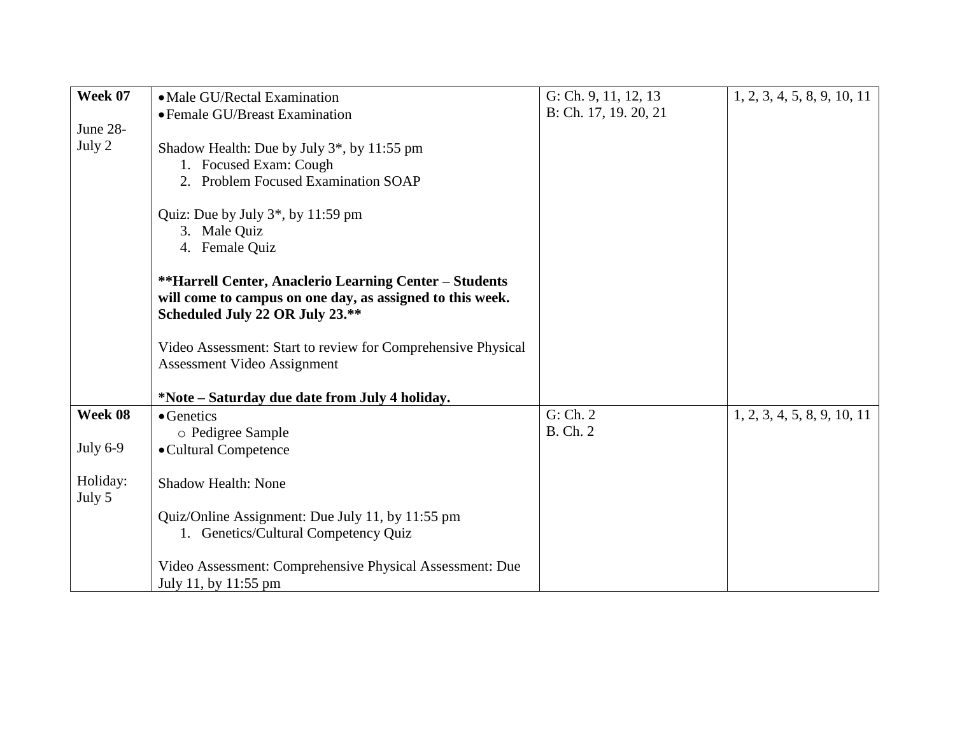| Week 07  | • Male GU/Rectal Examination                                  | G: Ch. 9, 11, 12, 13  | 1, 2, 3, 4, 5, 8, 9, 10, 11 |
|----------|---------------------------------------------------------------|-----------------------|-----------------------------|
|          | • Female GU/Breast Examination                                | B: Ch. 17, 19. 20, 21 |                             |
| June 28- |                                                               |                       |                             |
| July 2   | Shadow Health: Due by July 3 <sup>*</sup> , by 11:55 pm       |                       |                             |
|          | 1. Focused Exam: Cough                                        |                       |                             |
|          | 2. Problem Focused Examination SOAP                           |                       |                             |
|          |                                                               |                       |                             |
|          | Quiz: Due by July $3^*$ , by 11:59 pm                         |                       |                             |
|          | 3. Male Quiz                                                  |                       |                             |
|          | 4. Female Quiz                                                |                       |                             |
|          | <b>**Harrell Center, Anaclerio Learning Center - Students</b> |                       |                             |
|          | will come to campus on one day, as assigned to this week.     |                       |                             |
|          | Scheduled July 22 OR July 23.**                               |                       |                             |
|          |                                                               |                       |                             |
|          | Video Assessment: Start to review for Comprehensive Physical  |                       |                             |
|          | Assessment Video Assignment                                   |                       |                             |
|          |                                                               |                       |                             |
|          | *Note – Saturday due date from July 4 holiday.                |                       |                             |
| Week 08  | $\bullet$ Genetics                                            | G: Ch. 2              | 1, 2, 3, 4, 5, 8, 9, 10, 11 |
|          | o Pedigree Sample                                             | <b>B.</b> Ch. 2       |                             |
| July 6-9 | • Cultural Competence                                         |                       |                             |
| Holiday: | <b>Shadow Health: None</b>                                    |                       |                             |
| July 5   |                                                               |                       |                             |
|          | Quiz/Online Assignment: Due July 11, by 11:55 pm              |                       |                             |
|          | 1. Genetics/Cultural Competency Quiz                          |                       |                             |
|          |                                                               |                       |                             |
|          | Video Assessment: Comprehensive Physical Assessment: Due      |                       |                             |
|          | July 11, by 11:55 pm                                          |                       |                             |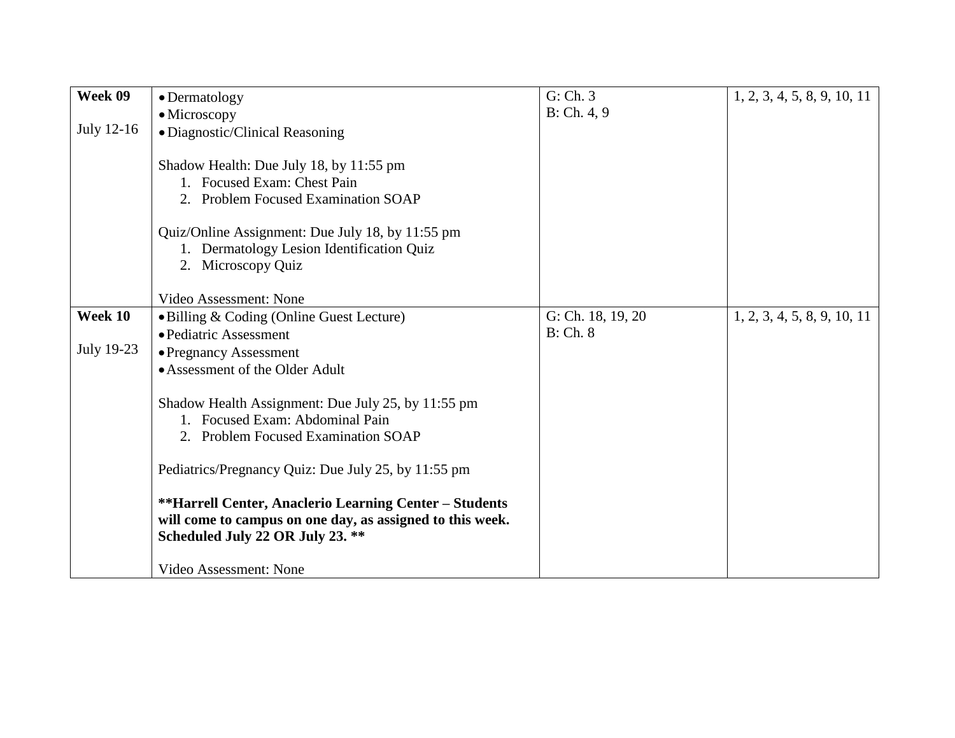| Week 09    | • Dermatology                                                 | G: Ch. 3          | 1, 2, 3, 4, 5, 8, 9, 10, 11 |
|------------|---------------------------------------------------------------|-------------------|-----------------------------|
|            | • Microscopy                                                  | B: Ch. 4, 9       |                             |
| July 12-16 | • Diagnostic/Clinical Reasoning                               |                   |                             |
|            |                                                               |                   |                             |
|            | Shadow Health: Due July 18, by 11:55 pm                       |                   |                             |
|            | 1. Focused Exam: Chest Pain                                   |                   |                             |
|            | 2. Problem Focused Examination SOAP                           |                   |                             |
|            | Quiz/Online Assignment: Due July 18, by 11:55 pm              |                   |                             |
|            | 1. Dermatology Lesion Identification Quiz                     |                   |                             |
|            | 2. Microscopy Quiz                                            |                   |                             |
|            |                                                               |                   |                             |
|            | Video Assessment: None                                        |                   |                             |
| Week 10    | • Billing & Coding (Online Guest Lecture)                     | G: Ch. 18, 19, 20 | 1, 2, 3, 4, 5, 8, 9, 10, 11 |
|            | · Pediatric Assessment                                        | <b>B</b> : Ch. 8  |                             |
| July 19-23 | • Pregnancy Assessment                                        |                   |                             |
|            | • Assessment of the Older Adult                               |                   |                             |
|            | Shadow Health Assignment: Due July 25, by 11:55 pm            |                   |                             |
|            | 1. Focused Exam: Abdominal Pain                               |                   |                             |
|            | 2. Problem Focused Examination SOAP                           |                   |                             |
|            | Pediatrics/Pregnancy Quiz: Due July 25, by 11:55 pm           |                   |                             |
|            | <b>**Harrell Center, Anaclerio Learning Center - Students</b> |                   |                             |
|            | will come to campus on one day, as assigned to this week.     |                   |                             |
|            | Scheduled July 22 OR July 23. **                              |                   |                             |
|            | Video Assessment: None                                        |                   |                             |